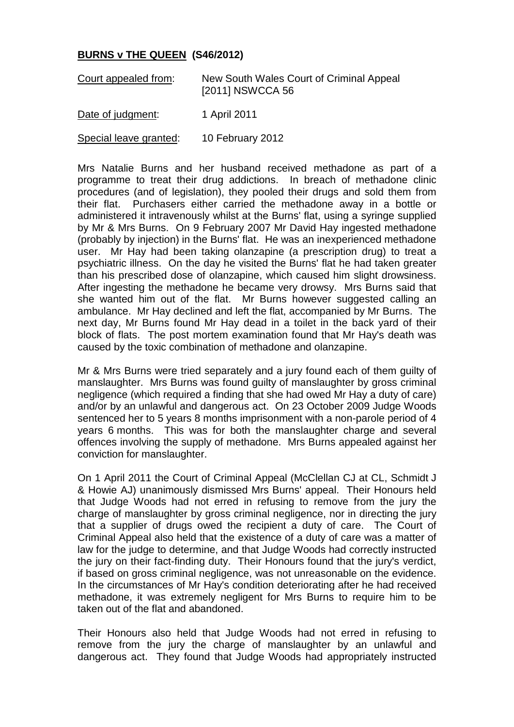## **BURNS v THE QUEEN (S46/2012)**

| Court appealed from:   | New South Wales Court of Criminal Appeal<br>[2011] NSWCCA 56 |
|------------------------|--------------------------------------------------------------|
| Date of judgment:      | 1 April 2011                                                 |
| Special leave granted: | 10 February 2012                                             |

Mrs Natalie Burns and her husband received methadone as part of a programme to treat their drug addictions. In breach of methadone clinic procedures (and of legislation), they pooled their drugs and sold them from their flat. Purchasers either carried the methadone away in a bottle or administered it intravenously whilst at the Burns' flat, using a syringe supplied by Mr & Mrs Burns. On 9 February 2007 Mr David Hay ingested methadone (probably by injection) in the Burns' flat. He was an inexperienced methadone user. Mr Hay had been taking olanzapine (a prescription drug) to treat a psychiatric illness. On the day he visited the Burns' flat he had taken greater than his prescribed dose of olanzapine, which caused him slight drowsiness. After ingesting the methadone he became very drowsy. Mrs Burns said that she wanted him out of the flat. Mr Burns however suggested calling an ambulance. Mr Hay declined and left the flat, accompanied by Mr Burns. The next day, Mr Burns found Mr Hay dead in a toilet in the back yard of their block of flats. The post mortem examination found that Mr Hay's death was caused by the toxic combination of methadone and olanzapine.

Mr & Mrs Burns were tried separately and a jury found each of them guilty of manslaughter. Mrs Burns was found guilty of manslaughter by gross criminal negligence (which required a finding that she had owed Mr Hay a duty of care) and/or by an unlawful and dangerous act. On 23 October 2009 Judge Woods sentenced her to 5 years 8 months imprisonment with a non-parole period of 4 years 6 months. This was for both the manslaughter charge and several offences involving the supply of methadone. Mrs Burns appealed against her conviction for manslaughter.

On 1 April 2011 the Court of Criminal Appeal (McClellan CJ at CL, Schmidt J & Howie AJ) unanimously dismissed Mrs Burns' appeal. Their Honours held that Judge Woods had not erred in refusing to remove from the jury the charge of manslaughter by gross criminal negligence, nor in directing the jury that a supplier of drugs owed the recipient a duty of care. The Court of Criminal Appeal also held that the existence of a duty of care was a matter of law for the judge to determine, and that Judge Woods had correctly instructed the jury on their fact-finding duty. Their Honours found that the jury's verdict, if based on gross criminal negligence, was not unreasonable on the evidence. In the circumstances of Mr Hay's condition deteriorating after he had received methadone, it was extremely negligent for Mrs Burns to require him to be taken out of the flat and abandoned.

Their Honours also held that Judge Woods had not erred in refusing to remove from the jury the charge of manslaughter by an unlawful and dangerous act. They found that Judge Woods had appropriately instructed